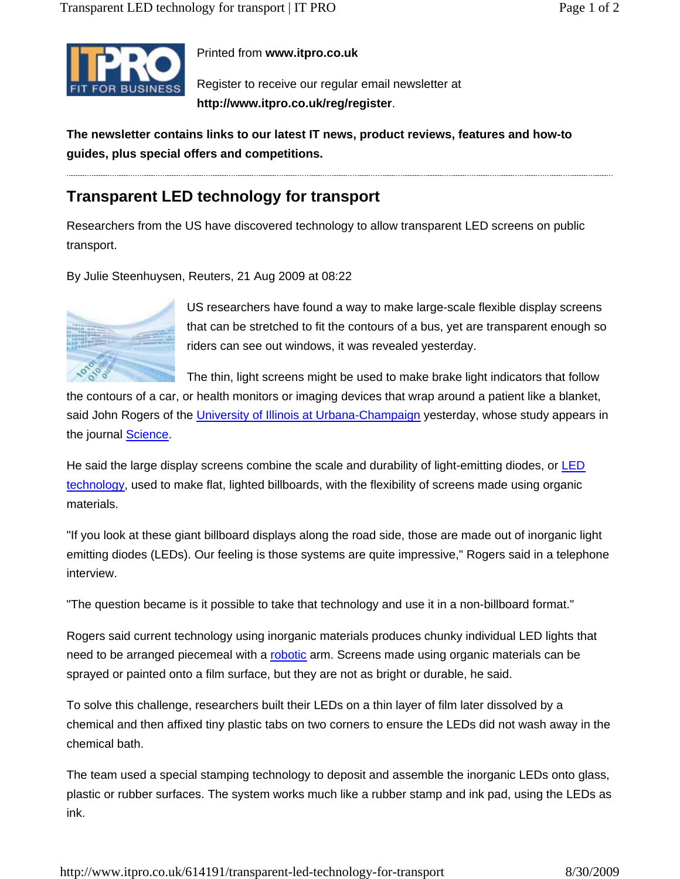

## Printed from **www.itpro.co.uk**

Register to receive our regular email newsletter at **http://www.itpro.co.uk/reg/register**.

**The newsletter contains links to our latest IT news, product reviews, features and how-to guides, plus special offers and competitions.**

## **Transparent LED technology for transport**

Researchers from the US have discovered technology to allow transparent LED screens on public transport.

By Julie Steenhuysen, Reuters, 21 Aug 2009 at 08:22



US researchers have found a way to make large-scale flexible display screens that can be stretched to fit the contours of a bus, yet are transparent enough so riders can see out windows, it was revealed yesterday.

The thin, light screens might be used to make brake light indicators that follow

the contours of a car, or health monitors or imaging devices that wrap around a patient like a blanket, said John Rogers of the University of Illinois at Urbana-Champaign yesterday, whose study appears in the journal **Science**.

He said the large display screens combine the scale and durability of light-emitting diodes, or LED technology, used to make flat, lighted billboards, with the flexibility of screens made using organic materials.

"If you look at these giant billboard displays along the road side, those are made out of inorganic light emitting diodes (LEDs). Our feeling is those systems are quite impressive," Rogers said in a telephone interview.

"The question became is it possible to take that technology and use it in a non-billboard format."

Rogers said current technology using inorganic materials produces chunky individual LED lights that need to be arranged piecemeal with a robotic arm. Screens made using organic materials can be sprayed or painted onto a film surface, but they are not as bright or durable, he said.

To solve this challenge, researchers built their LEDs on a thin layer of film later dissolved by a chemical and then affixed tiny plastic tabs on two corners to ensure the LEDs did not wash away in the chemical bath.

The team used a special stamping technology to deposit and assemble the inorganic LEDs onto glass, plastic or rubber surfaces. The system works much like a rubber stamp and ink pad, using the LEDs as ink.